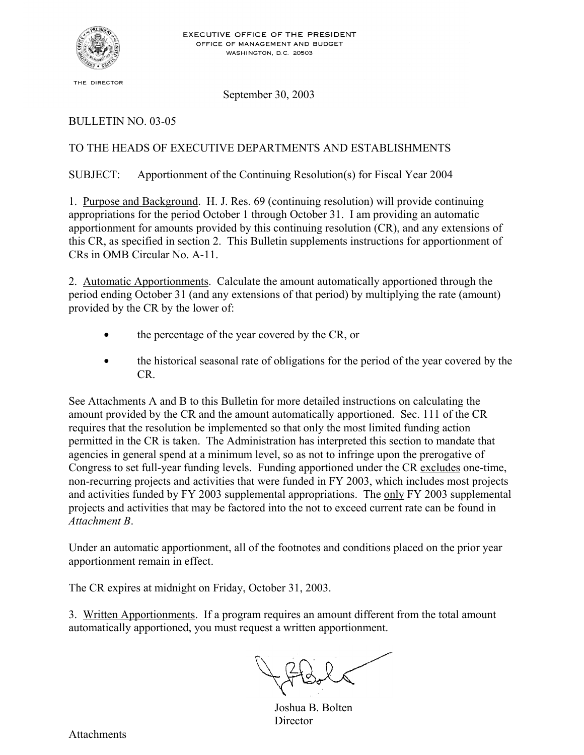

THE DIRECTOR

September 30, 2003

### BULLETIN NO. 03-05

# TO THE HEADS OF EXECUTIVE DEPARTMENTS AND ESTABLISHMENTS

SUBJECT: Apportionment of the Continuing Resolution(s) for Fiscal Year 2004

1. Purpose and Background. H. J. Res. 69 (continuing resolution) will provide continuing appropriations for the period October 1 through October 31. I am providing an automatic apportionment for amounts provided by this continuing resolution (CR), and any extensions of this CR, as specified in section 2. This Bulletin supplements instructions for apportionment of CRs in OMB Circular No. A-11.

2. Automatic Apportionments. Calculate the amount automatically apportioned through the period ending October 31 (and any extensions of that period) by multiplying the rate (amount) provided by the CR by the lower of:

- the percentage of the year covered by the CR, or
- the historical seasonal rate of obligations for the period of the year covered by the CR.

See Attachments A and B to this Bulletin for more detailed instructions on calculating the amount provided by the CR and the amount automatically apportioned. Sec. 111 of the CR requires that the resolution be implemented so that only the most limited funding action permitted in the CR is taken. The Administration has interpreted this section to mandate that agencies in general spend at a minimum level, so as not to infringe upon the prerogative of Congress to set full-year funding levels. Funding apportioned under the CR excludes one-time, non-recurring projects and activities that were funded in FY 2003, which includes most projects and activities funded by FY 2003 supplemental appropriations. The only FY 2003 supplemental projects and activities that may be factored into the not to exceed current rate can be found in *Attachment B*.

Under an automatic apportionment, all of the footnotes and conditions placed on the prior year apportionment remain in effect.

The CR expires at midnight on Friday, October 31, 2003.

3. Written Apportionments. If a program requires an amount different from the total amount automatically apportioned, you must request a written apportionment.

Joshua B. Bolten Director

Attachments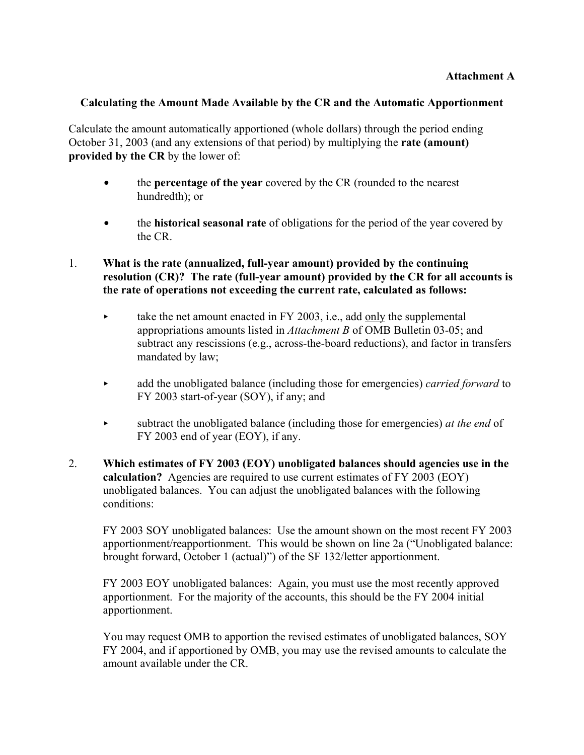## **Calculating the Amount Made Available by the CR and the Automatic Apportionment**

Calculate the amount automatically apportioned (whole dollars) through the period ending October 31, 2003 (and any extensions of that period) by multiplying the **rate (amount) provided by the CR** by the lower of:

- the **percentage of the year** covered by the CR (rounded to the nearest hundredth); or
- **the historical seasonal rate** of obligations for the period of the year covered by the CR.
- 1. **What is the rate (annualized, full-year amount) provided by the continuing resolution (CR)? The rate (full-year amount) provided by the CR for all accounts is the rate of operations not exceeding the current rate, calculated as follows:** 
	- take the net amount enacted in FY 2003, i.e., add only the supplemental appropriations amounts listed in *Attachment B* of OMB Bulletin 03-05; and subtract any rescissions (e.g., across-the-board reductions), and factor in transfers mandated by law;
	- add the unobligated balance (including those for emergencies) *carried forward* to FY 2003 start-of-year (SOY), if any; and
	- < subtract the unobligated balance (including those for emergencies) *at the end* of FY 2003 end of year (EOY), if any.
- 2. **Which estimates of FY 2003 (EOY) unobligated balances should agencies use in the calculation?** Agencies are required to use current estimates of FY 2003 (EOY) unobligated balances. You can adjust the unobligated balances with the following conditions:

 FY 2003 SOY unobligated balances: Use the amount shown on the most recent FY 2003 apportionment/reapportionment. This would be shown on line 2a ("Unobligated balance: brought forward, October 1 (actual)") of the SF 132/letter apportionment.

 FY 2003 EOY unobligated balances: Again, you must use the most recently approved apportionment. For the majority of the accounts, this should be the FY 2004 initial apportionment.

 You may request OMB to apportion the revised estimates of unobligated balances, SOY FY 2004, and if apportioned by OMB, you may use the revised amounts to calculate the amount available under the CR.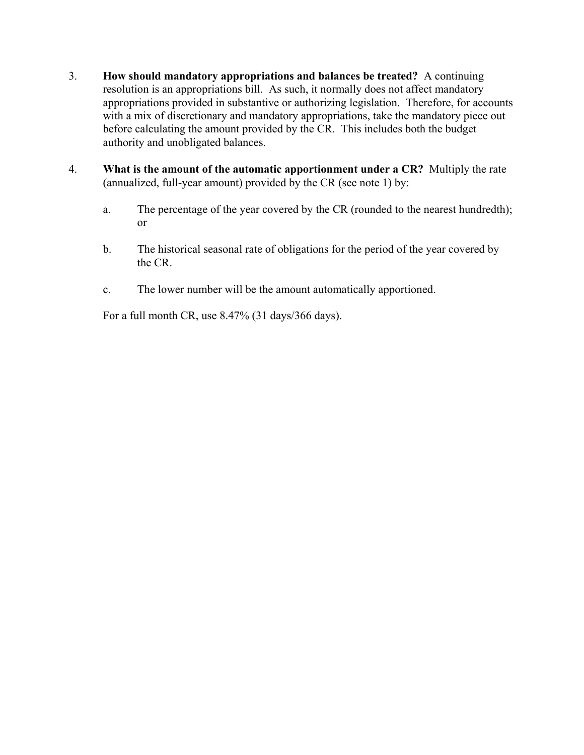- 3. **How should mandatory appropriations and balances be treated?** A continuing resolution is an appropriations bill. As such, it normally does not affect mandatory appropriations provided in substantive or authorizing legislation. Therefore, for accounts with a mix of discretionary and mandatory appropriations, take the mandatory piece out before calculating the amount provided by the CR. This includes both the budget authority and unobligated balances.
- 4. **What is the amount of the automatic apportionment under a CR?** Multiply the rate (annualized, full-year amount) provided by the CR (see note 1) by:
	- a. The percentage of the year covered by the CR (rounded to the nearest hundredth); or
	- b. The historical seasonal rate of obligations for the period of the year covered by the CR.
	- c. The lower number will be the amount automatically apportioned.

For a full month CR, use 8.47% (31 days/366 days).